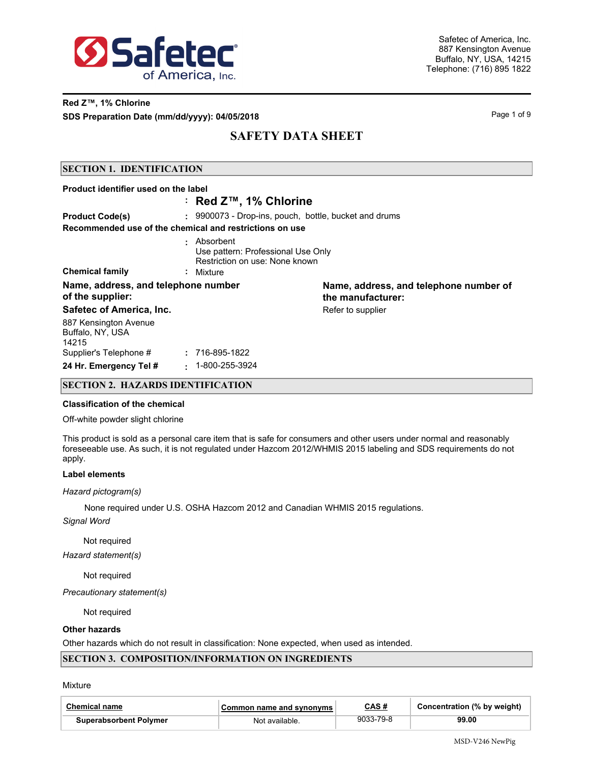

## **Red Z™, 1% Chlorine SDS Preparation Date (mm/dd/yyyy): 04/05/2018 Page 1 of 9** Page 1 of 9

## **SAFETY DATA SHEET**

### **SECTION 1. IDENTIFICATION**

| Product identifier used on the label                    |                                                                                                  |                                                             |
|---------------------------------------------------------|--------------------------------------------------------------------------------------------------|-------------------------------------------------------------|
|                                                         | ∶ Red Z™, 1% Chlorine                                                                            |                                                             |
| <b>Product Code(s)</b>                                  | : 9900073 - Drop-ins, pouch, bottle, bucket and drums                                            |                                                             |
| Recommended use of the chemical and restrictions on use |                                                                                                  |                                                             |
| <b>Chemical family</b>                                  | · Absorbent<br>Use pattern: Professional Use Only<br>Restriction on use: None known<br>: Mixture |                                                             |
| Name, address, and telephone number<br>of the supplier: |                                                                                                  | Name, address, and telephone number of<br>the manufacturer: |
| Safetec of America, Inc.                                |                                                                                                  | Refer to supplier                                           |
| 887 Kensington Avenue<br>Buffalo, NY, USA<br>14215      |                                                                                                  |                                                             |
| Supplier's Telephone #                                  | : 716-895-1822                                                                                   |                                                             |
| 24 Hr. Emergency Tel #                                  | $\cdot$ 1-800-255-3924                                                                           |                                                             |

### **SECTION 2. HAZARDS IDENTIFICATION**

#### **Classification of the chemical**

#### Off-white powder slight chlorine

This product is sold as a personal care item that is safe for consumers and other users under normal and reasonably foreseeable use. As such, it is not regulated under Hazcom 2012/WHMIS 2015 labeling and SDS requirements do not apply.

#### **Label elements**

#### *Hazard pictogram(s)*

None required under U.S. OSHA Hazcom 2012 and Canadian WHMIS 2015 regulations.

*Signal Word*

Not required

*Hazard statement(s)*

Not required

*Precautionary statement(s)*

Not required

### **Other hazards**

Other hazards which do not result in classification: None expected, when used as intended.

### **SECTION 3. COMPOSITION/INFORMATION ON INGREDIENTS**

#### Mixture

| <b>Chemical name</b>          | Common name and svnonvms | CAS #     | Concentration (% by weight) |
|-------------------------------|--------------------------|-----------|-----------------------------|
| <b>Superabsorbent Polymer</b> | Not available.           | 9033-79-8 | 99.00                       |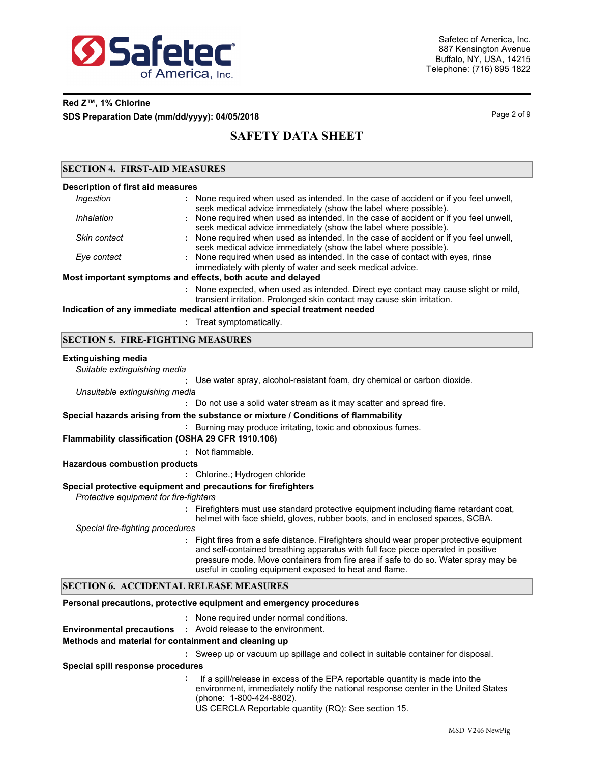

## **Red Z™, 1% Chlorine SDS Preparation Date (mm/dd/yyyy): 04/05/2018 Page 2 of 9** Page 2 of 9

## **SAFETY DATA SHEET**

### **SECTION 4. FIRST-AID MEASURES**

| <b>Description of first aid measures</b> |                                                                                       |
|------------------------------------------|---------------------------------------------------------------------------------------|
| Ingestion                                | : None required when used as intended. In the case of accident or if you feel unwell, |
|                                          | seek medical advice immediately (show the label where possible).                      |
| Inhalation                               | : None required when used as intended. In the case of accident or if you feel unwell, |
|                                          | seek medical advice immediately (show the label where nossible)                       |

|              | seek medical advice immediately (show the label where possible).                    |
|--------------|-------------------------------------------------------------------------------------|
| Skin contact | None required when used as intended. In the case of accident or if you feel unwell, |
|              | seek medical advice immediately (show the label where possible).                    |
| Eve contact  | : None required when used as intended. In the case of contact with eyes, rinse      |
|              | immediately with plenty of water and seek medical advice.                           |

### **Most important symptoms and effects, both acute and delayed**

None expected, when used as intended. Direct eye contact may cause slight or mild, **:** transient irritation. Prolonged skin contact may cause skin irritation.

### **Indication of any immediate medical attention and special treatment needed**

**:** Treat symptomatically.

### **SECTION 5. FIRE-FIGHTING MEASURES**

#### **Extinguishing media**

*Suitable extinguishing media*

**:** Use water spray, alcohol-resistant foam, dry chemical or carbon dioxide. *Unsuitable extinguishing media*

**:** Do not use a solid water stream as it may scatter and spread fire.

#### **Special hazards arising from the substance or mixture / Conditions of flammability**

**:** Burning may produce irritating, toxic and obnoxious fumes.

### **Flammability classification (OSHA 29 CFR 1910.106)**

**:** Not flammable.

#### **Hazardous combustion products**

**:** Chlorine.; Hydrogen chloride

### **Special protective equipment and precautions for firefighters**

*Protective equipment for fire-fighters*

- **:** Firefighters must use standard protective equipment including flame retardant coat,
- helmet with face shield, gloves, rubber boots, and in enclosed spaces, SCBA.

*Special fire-fighting procedures*

**:** Fight fires from a safe distance. Firefighters should wear proper protective equipment and self-contained breathing apparatus with full face piece operated in positive pressure mode. Move containers from fire area if safe to do so. Water spray may be useful in cooling equipment exposed to heat and flame.

### **SECTION 6. ACCIDENTAL RELEASE MEASURES**

### **Personal precautions, protective equipment and emergency procedures**

- None required under normal conditions. **:**
- **Environmental precautions :** Avoid release to the environment.

#### **Methods and material for containment and cleaning up**

**:** Sweep up or vacuum up spillage and collect in suitable container for disposal.

**Special spill response procedures**

**:** If a spill/release in excess of the EPA reportable quantity is made into the environment, immediately notify the national response center in the United States (phone: 1-800-424-8802).

US CERCLA Reportable quantity (RQ): See section 15.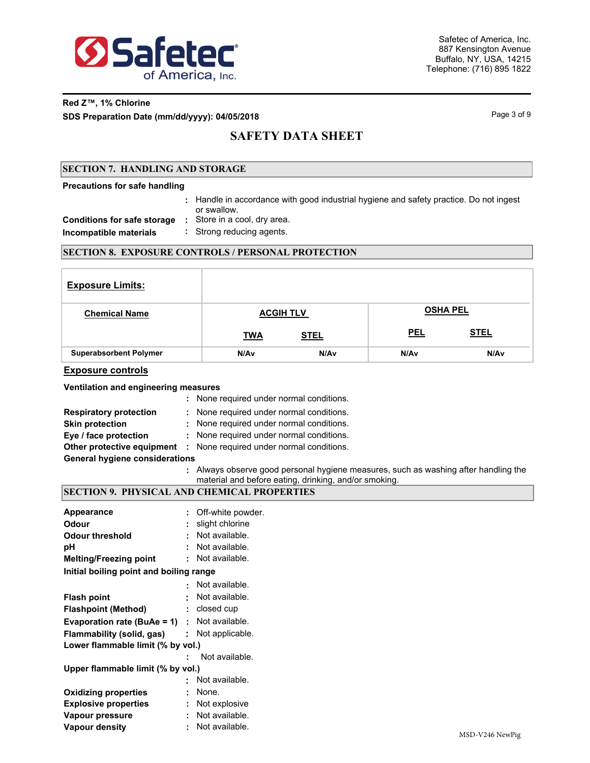

# **Red Z™, 1% Chlorine**

**SDS Preparation Date (mm/dd/yyyy): 04/05/2018 Page 1 of 9 and 2018** Page 3 of 9

## **SAFETY DATA SHEET**

### **SECTION 7. HANDLING AND STORAGE**

#### **Precautions for safe handling**

Handle in accordance with good industrial hygiene and safety practice. Do not ingest **:** or swallow. **Conditions for safe storage :** Store in a cool, dry area. **Incompatible materials :** Strong reducing agents.

### **SECTION 8. EXPOSURE CONTROLS / PERSONAL PROTECTION**

| <b>Exposure Limits:</b>       |                  |                  |                 |                  |
|-------------------------------|------------------|------------------|-----------------|------------------|
| <b>Chemical Name</b>          | <b>ACGIH TLV</b> |                  | <b>OSHA PEL</b> |                  |
|                               | <b>TWA</b>       | <b>STEL</b>      | <b>PEL</b>      | <b>STEL</b>      |
| <b>Superabsorbent Polymer</b> | N/Av             | N/A <sub>v</sub> | N/Av            | N/A <sub>v</sub> |

### **Exposure controls**

### **Ventilation and engineering measures**

|                                       | : None required under normal conditions.                                            |
|---------------------------------------|-------------------------------------------------------------------------------------|
| <b>Respiratory protection</b>         | : None required under normal conditions.                                            |
| <b>Skin protection</b>                | : None required under normal conditions.                                            |
| Eye / face protection                 | : None required under normal conditions.                                            |
|                                       | <b>Other protective equipment :</b> None required under normal conditions.          |
| <b>General hygiene considerations</b> |                                                                                     |
|                                       | : Always observe good personal hygiene measures, such as washing after handling the |

material and before eating, drinking, and/or smoking.

## **SECTION 9. PHYSICAL AND CHEMICAL PROPERTIES**

| Appearance                              | ÷.             | Off-white powder.                         |
|-----------------------------------------|----------------|-------------------------------------------|
| Odour                                   |                | slight chlorine                           |
| <b>Odour threshold</b>                  |                | Not available.                            |
| рH                                      |                | Not available.                            |
| <b>Melting/Freezing point</b>           |                | Not available.                            |
| Initial boiling point and boiling range |                |                                           |
|                                         |                | Not available.                            |
| <b>Flash point</b>                      | ٠              | Not available.                            |
| <b>Flashpoint (Method)</b>              |                | : closed cup                              |
| Evaporation rate (BuAe = 1)             |                | : Not available.                          |
| Flammability (solid, gas)               |                | $:$ Not applicable.                       |
| Lower flammable limit (% by vol.)       |                |                                           |
|                                         | $\blacksquare$ | Not available.                            |
| Upper flammable limit (% by vol.)       |                |                                           |
|                                         | ٠              | Not available.                            |
| <b>Oxidizing properties</b>             |                | None.                                     |
| <b>Explosive properties</b>             | ÷              | Not explosive                             |
| Vapour pressure                         | ٠              | Not available.                            |
| <b>Vapour density</b>                   | ٠              | Not available.<br>$1.5073$ $7.74$ $1.757$ |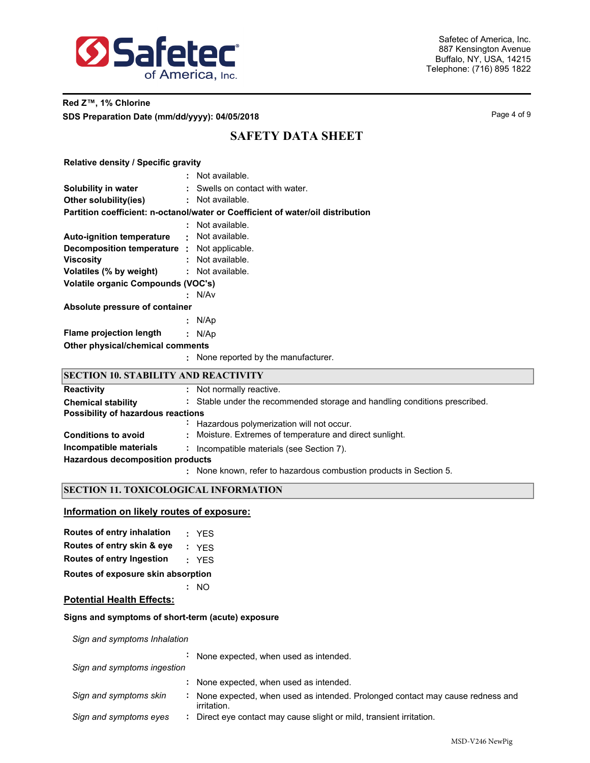

## **Red Z™, 1% Chlorine SDS Preparation Date (mm/dd/yyyy): 04/05/2018 Page 4 of 9 Page 4 of 9**

## **SAFETY DATA SHEET**

## **Relative density / Specific gravity**

|                                             | : Not available.                                                                |
|---------------------------------------------|---------------------------------------------------------------------------------|
| Solubility in water                         | : Swells on contact with water.                                                 |
| Other solubility(ies)                       | : Not available.                                                                |
|                                             | Partition coefficient: n-octanol/water or Coefficient of water/oil distribution |
|                                             | : Not available.                                                                |
| <b>Auto-ignition temperature</b>            | · Not available.                                                                |
| Decomposition temperature : Not applicable. |                                                                                 |
| <b>Viscosity</b>                            | : Not available.                                                                |
| Volatiles (% by weight)                     | : Not available.                                                                |
| Volatile organic Compounds (VOC's)          |                                                                                 |
|                                             | : N/Av                                                                          |
| Absolute pressure of container              |                                                                                 |
|                                             | : $N/Ap$                                                                        |
| Flame projection length                     | : N/Ap                                                                          |
| Other physical/chemical comments            |                                                                                 |
|                                             | : None reported by the manufacturer.                                            |

### **SECTION 10. STABILITY AND REACTIVITY**

| <b>Reactivity</b>                       | : Not normally reactive.                                                   |
|-----------------------------------------|----------------------------------------------------------------------------|
| <b>Chemical stability</b>               | : Stable under the recommended storage and handling conditions prescribed. |
| Possibility of hazardous reactions      |                                                                            |
|                                         | : Hazardous polymerization will not occur.                                 |
| <b>Conditions to avoid</b>              | : Moisture. Extremes of temperature and direct sunlight.                   |
| Incompatible materials                  | Incompatible materials (see Section 7).                                    |
| <b>Hazardous decomposition products</b> |                                                                            |
|                                         | : None known, refer to hazardous combustion products in Section 5.         |

## **SECTION 11. TOXICOLOGICAL INFORMATION**

### **Information on likely routes of exposure:**

| Routes of entry inhalation         |  | : YFS |
|------------------------------------|--|-------|
| Routes of entry skin & eye         |  | : YFS |
| Routes of entry Ingestion          |  | : YES |
| Routes of exposure skin absorption |  |       |

### **:** NO

## **Potential Health Effects:**

### **Signs and symptoms of short-term (acute) exposure**

*Sign and symptoms Inhalation*

| Sign and symptoms ingestion | None expected, when used as intended.                                                        |
|-----------------------------|----------------------------------------------------------------------------------------------|
|                             | None expected, when used as intended.                                                        |
| Sign and symptoms skin      | None expected, when used as intended. Prolonged contact may cause redness and<br>irritation. |
| Sign and symptoms eyes      | Direct eye contact may cause slight or mild, transient irritation.                           |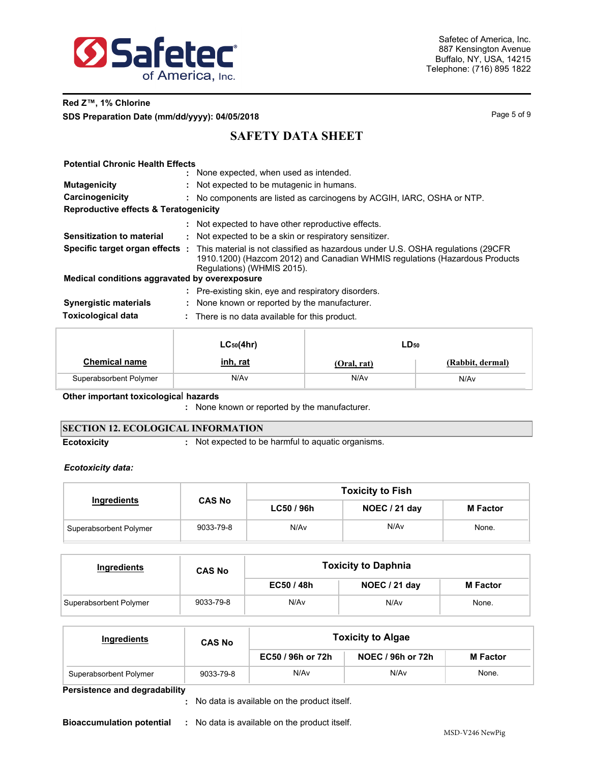

## **Red Z™, 1% Chlorine SDS Preparation Date (mm/dd/yyyy): 04/05/2018 Page 10 and 2018** Page 5 of 9

## **SAFETY DATA SHEET**

| <b>Potential Chronic Health Effects</b>       |                                                                                                                                                                                                                                     |  |  |  |
|-----------------------------------------------|-------------------------------------------------------------------------------------------------------------------------------------------------------------------------------------------------------------------------------------|--|--|--|
|                                               | : None expected, when used as intended.                                                                                                                                                                                             |  |  |  |
| <b>Mutagenicity</b>                           | Not expected to be mutagenic in humans.                                                                                                                                                                                             |  |  |  |
| Carcinogenicity                               | No components are listed as carcinogens by ACGIH, IARC, OSHA or NTP.<br>÷.                                                                                                                                                          |  |  |  |
|                                               | Reproductive effects & Teratogenicity                                                                                                                                                                                               |  |  |  |
|                                               | Not expected to have other reproductive effects.                                                                                                                                                                                    |  |  |  |
| Sensitization to material                     | Not expected to be a skin or respiratory sensitizer.<br>÷.                                                                                                                                                                          |  |  |  |
|                                               | <b>Specific target organ effects</b> : This material is not classified as hazardous under U.S. OSHA regulations (29CFR<br>1910.1200) (Hazcom 2012) and Canadian WHMIS regulations (Hazardous Products<br>Regulations) (WHMIS 2015). |  |  |  |
| Medical conditions aggravated by overexposure |                                                                                                                                                                                                                                     |  |  |  |
|                                               | Pre-existing skin, eye and respiratory disorders.                                                                                                                                                                                   |  |  |  |
| <b>Synergistic materials</b>                  | : None known or reported by the manufacturer.                                                                                                                                                                                       |  |  |  |
| <b>Toxicological data</b>                     | : There is no data available for this product.                                                                                                                                                                                      |  |  |  |
|                                               |                                                                                                                                                                                                                                     |  |  |  |

|                        | $LC_{50}(4hr)$  | LD <sub>50</sub> |                  |  |
|------------------------|-----------------|------------------|------------------|--|
| <b>Chemical name</b>   | <u>inh, rat</u> | (Oral, rat)      | (Rabbit, dermal) |  |
| Superabsorbent Polymer | N/Av            | N/Av             | N/Av             |  |

**Other important toxicologica**l **hazards**

**:** None known or reported by the manufacturer.

## **SECTION 12. ECOLOGICAL INFORMATION**

**Ecotoxicity :** Not expected to be harmful to aquatic organisms.

### *Ecotoxicity data:*

|                        |               | <b>Toxicity to Fish</b> |               |                 |  |  |
|------------------------|---------------|-------------------------|---------------|-----------------|--|--|
| Ingredients            | <b>CAS No</b> | LC50 / 96h              | NOEC / 21 day | <b>M</b> Factor |  |  |
| Superabsorbent Polymer | 9033-79-8     | N/A <sub>v</sub>        | N/Av          | None.           |  |  |

| Ingredients            | <b>CAS No</b> |            | <b>Toxicity to Daphnia</b> |                 |  |  |
|------------------------|---------------|------------|----------------------------|-----------------|--|--|
|                        |               | EC50 / 48h | NOEC / 21 day              | <b>M</b> Factor |  |  |
| Superabsorbent Polymer | 9033-79-8     | N/Av       | N/Av                       | None.           |  |  |

| Ingredients            | <b>CAS No</b> | <b>Toxicity to Algae</b> |                   |          |  |  |
|------------------------|---------------|--------------------------|-------------------|----------|--|--|
|                        |               | EC50 / 96h or 72h        | NOEC / 96h or 72h | M Factor |  |  |
| Superabsorbent Polymer | 9033-79-8     | N/Av                     | N/A <sub>v</sub>  | None.    |  |  |

**Persistence and degradability**

No data is available on the product itself. **:**

**Bioaccumulation potential :** No data is available on the product itself.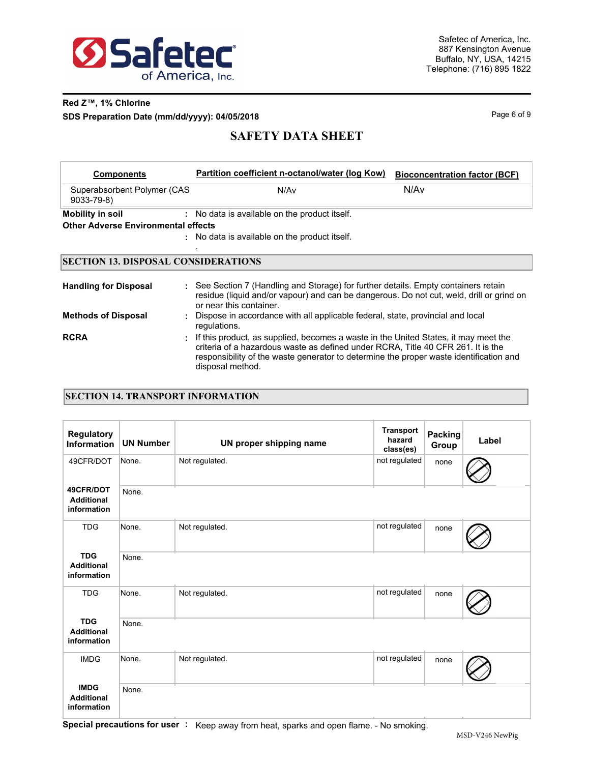

## **Red Z™, 1% Chlorine SDS Preparation Date (mm/dd/yyyy): 04/05/2018 Page 6 of 9 Page 6 of 9**

## **SAFETY DATA SHEET**

| <b>Components</b>                              | Partition coefficient n-octanol/water (log Kow)                                   | <b>Bioconcentration factor (BCF)</b> |
|------------------------------------------------|-----------------------------------------------------------------------------------|--------------------------------------|
| Superabsorbent Polymer (CAS<br>$9033 - 79 - 8$ | N/Av                                                                              | N/Av                                 |
| Mobility in soil                               | No data is available on the product itself.                                       |                                      |
| <b>Other Adverse Environmental effects</b>     |                                                                                   |                                      |
|                                                | : No data is available on the product itself.                                     |                                      |
| <b>SECTION 13. DISPOSAL CONSIDERATIONS</b>     |                                                                                   |                                      |
| Handling for Disposal                          | See Section 7 (Handling and Storage) for further details. Empty containers retain |                                      |

| <b>Handmig Tol Disposal</b> | . Occidental priditionity and otorage, for farther dotatio. Empty containers retain<br>residue (liquid and/or vapour) and can be dangerous. Do not cut, weld, drill or grind on<br>or near this container.                                                                              |
|-----------------------------|-----------------------------------------------------------------------------------------------------------------------------------------------------------------------------------------------------------------------------------------------------------------------------------------|
| <b>Methods of Disposal</b>  | : Dispose in accordance with all applicable federal, state, provincial and local<br>regulations.                                                                                                                                                                                        |
| <b>RCRA</b>                 | : If this product, as supplied, becomes a waste in the United States, it may meet the<br>criteria of a hazardous waste as defined under RCRA. Title 40 CFR 261. It is the<br>responsibility of the waste generator to determine the proper waste identification and<br>disposal method. |

### **SECTION 14. TRANSPORT INFORMATION**

| <b>Regulatory</b><br><b>Information</b>         | <b>UN Number</b> | UN proper shipping name | <b>Transport</b><br>hazard<br>class(es) | <b>Packing</b><br>Group | Label |
|-------------------------------------------------|------------------|-------------------------|-----------------------------------------|-------------------------|-------|
| 49CFR/DOT                                       | None.            | Not regulated.          | not regulated                           | none                    |       |
| 49CFR/DOT<br><b>Additional</b><br>information   | None.            |                         |                                         |                         |       |
| <b>TDG</b>                                      | None.            | Not regulated.          | not regulated                           | none                    |       |
| <b>TDG</b><br><b>Additional</b><br>information  | None.            |                         |                                         |                         |       |
| <b>TDG</b>                                      | None.            | Not regulated.          | not regulated                           | none                    |       |
| <b>TDG</b><br><b>Additional</b><br>information  | None.            |                         |                                         |                         |       |
| <b>IMDG</b>                                     | None.            | Not regulated.          | not regulated                           | none                    |       |
| <b>IMDG</b><br><b>Additional</b><br>information | None.            |                         |                                         |                         |       |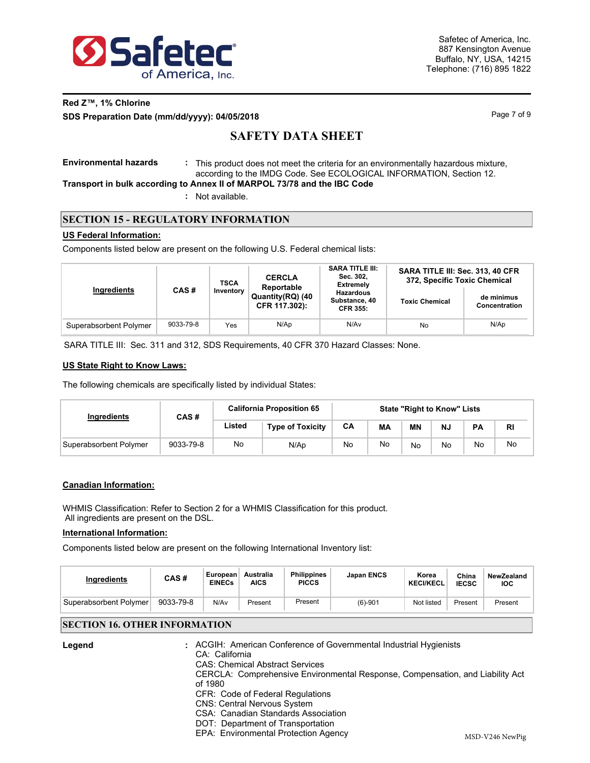

## **Red Z™, 1% Chlorine**

**SDS Preparation Date (mm/dd/yyyy): 04/05/2018 Page 7 of 9** Page 7 of 9

## **SAFETY DATA SHEET**

**Environmental hazards :** This product does not meet the criteria for an environmentally hazardous mixture, according to the IMDG Code. See ECOLOGICAL INFORMATION, Section 12.

**Transport in bulk according to Annex II of MARPOL 73/78 and the IBC Code**

**:** Not available.

## **SECTION 15 - REGULATORY INFORMATION**

### **US Federal Information:**

Components listed below are present on the following U.S. Federal chemical lists:

|                        | <b>TSCA</b> |                   | <b>CERCLA</b><br>Reportable       | <b>SARA TITLE III:</b><br>Sec. 302.<br><b>Extremely</b> | SARA TITLE III: Sec. 313, 40 CFR<br>372, Specific Toxic Chemical |                             |  |
|------------------------|-------------|-------------------|-----------------------------------|---------------------------------------------------------|------------------------------------------------------------------|-----------------------------|--|
| Ingredients            |             | CAS#<br>Inventory | Quantity(RQ) (40<br>CFR 117.302): | <b>Hazardous</b><br>Substance, 40<br><b>CFR 355:</b>    | <b>Toxic Chemical</b>                                            | de minimus<br>Concentration |  |
| Superabsorbent Polymer | 9033-79-8   | Yes               | N/Ap                              | N/Av                                                    | No                                                               | N/Ap                        |  |

SARA TITLE III: Sec. 311 and 312, SDS Requirements, 40 CFR 370 Hazard Classes: None.

### **US State Right to Know Laws:**

The following chemicals are specifically listed by individual States:

| Ingredients            | CAS#      | <b>California Proposition 65</b> | <b>State "Right to Know" Lists</b> |    |    |           |     |    |    |
|------------------------|-----------|----------------------------------|------------------------------------|----|----|-----------|-----|----|----|
|                        |           | Listed                           | <b>Type of Toxicity</b>            | CА | МA | <b>MN</b> | NJ. | PA | RI |
| Superabsorbent Polymer | 9033-79-8 | No                               | N/Ap                               | No | No | No        | No  | No | No |

### **Canadian Information:**

WHMIS Classification: Refer to Section 2 for a WHMIS Classification for this product. All ingredients are present on the DSL.

### **International Information:**

**Legend :**

Components listed below are present on the following International Inventory list:

| Ingredients            | CAS#      | European<br><b>EINECs</b> | Australia<br><b>AICS</b> | <b>Philippines</b><br><b>PICCS</b> | <b>Japan ENCS</b> | Korea<br><b>KECI/KECL</b> | China<br><b>IECSC</b> | NewZealand<br>IOC |
|------------------------|-----------|---------------------------|--------------------------|------------------------------------|-------------------|---------------------------|-----------------------|-------------------|
| Superabsorbent Polymer | 9033-79-8 | N/Av                      | Present                  | Present                            | $(6)-901$         | Not listed                | Present               | Present           |

## **SECTION 16. OTHER INFORMATION**

| CA: California<br><b>CAS: Chemical Abstract Services</b> | : ACGIH: American Conference of Governmental Industrial Hygienists            |
|----------------------------------------------------------|-------------------------------------------------------------------------------|
|                                                          |                                                                               |
| of 1980                                                  | CERCLA: Comprehensive Environmental Response, Compensation, and Liability Act |
| CFR: Code of Federal Regulations                         |                                                                               |
| <b>CNS: Central Nervous System</b>                       |                                                                               |
| CSA: Canadian Standards Association                      |                                                                               |
| DOT: Department of Transportation                        |                                                                               |
| EPA: Environmental Protection Agency                     | MSD-V246 NewPig                                                               |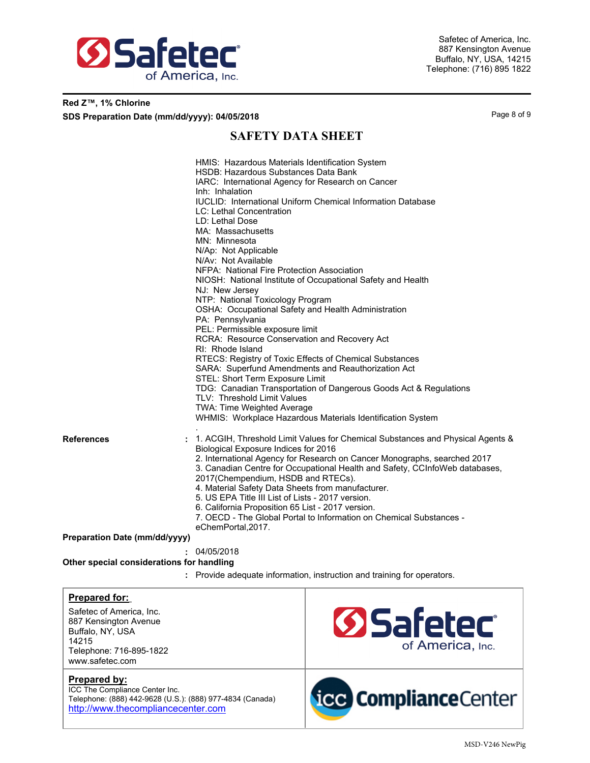

## **Red Z™, 1% Chlorine**

**SDS Preparation Date (mm/dd/yyyy): 04/05/2018 Page 8 of 9 Page 8 of 9** 

## **SAFETY DATA SHEET**

|                                           | HMIS: Hazardous Materials Identification System<br>HSDB: Hazardous Substances Data Bank<br>IARC: International Agency for Research on Cancer<br>Inh: Inhalation<br><b>IUCLID: International Uniform Chemical Information Database</b><br><b>LC: Lethal Concentration</b><br>LD: Lethal Dose<br>MA: Massachusetts<br>MN: Minnesota<br>N/Ap: Not Applicable<br>N/Av: Not Available<br>NFPA: National Fire Protection Association<br>NIOSH: National Institute of Occupational Safety and Health<br>NJ: New Jersey<br>NTP: National Toxicology Program<br>OSHA: Occupational Safety and Health Administration<br>PA: Pennsylvania<br>PEL: Permissible exposure limit<br>RCRA: Resource Conservation and Recovery Act<br>RI: Rhode Island<br>RTECS: Registry of Toxic Effects of Chemical Substances<br>SARA: Superfund Amendments and Reauthorization Act<br>STEL: Short Term Exposure Limit<br>TDG: Canadian Transportation of Dangerous Goods Act & Regulations<br>TLV: Threshold Limit Values<br>TWA: Time Weighted Average<br>WHMIS: Workplace Hazardous Materials Identification System |
|-------------------------------------------|-------------------------------------------------------------------------------------------------------------------------------------------------------------------------------------------------------------------------------------------------------------------------------------------------------------------------------------------------------------------------------------------------------------------------------------------------------------------------------------------------------------------------------------------------------------------------------------------------------------------------------------------------------------------------------------------------------------------------------------------------------------------------------------------------------------------------------------------------------------------------------------------------------------------------------------------------------------------------------------------------------------------------------------------------------------------------------------------|
| <b>References</b>                         | 1. ACGIH, Threshold Limit Values for Chemical Substances and Physical Agents &<br>Biological Exposure Indices for 2016<br>2. International Agency for Research on Cancer Monographs, searched 2017<br>3. Canadian Centre for Occupational Health and Safety, CCInfoWeb databases,<br>2017(Chempendium, HSDB and RTECs).<br>4. Material Safety Data Sheets from manufacturer.<br>5. US EPA Title III List of Lists - 2017 version.<br>6. California Proposition 65 List - 2017 version.<br>7. OECD - The Global Portal to Information on Chemical Substances -<br>eChemPortal, 2017.                                                                                                                                                                                                                                                                                                                                                                                                                                                                                                       |
| <b>Preparation Date (mm/dd/yyyy)</b>      |                                                                                                                                                                                                                                                                                                                                                                                                                                                                                                                                                                                                                                                                                                                                                                                                                                                                                                                                                                                                                                                                                           |
|                                           | 04/05/2018                                                                                                                                                                                                                                                                                                                                                                                                                                                                                                                                                                                                                                                                                                                                                                                                                                                                                                                                                                                                                                                                                |
| Other special considerations for handling |                                                                                                                                                                                                                                                                                                                                                                                                                                                                                                                                                                                                                                                                                                                                                                                                                                                                                                                                                                                                                                                                                           |

**:** Provide adequate information, instruction and training for operators.